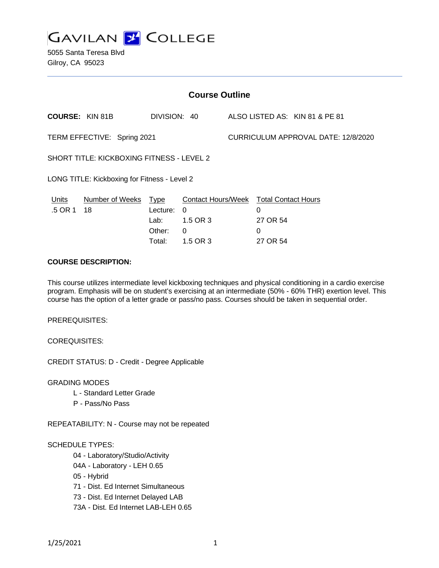

5055 Santa Teresa Blvd Gilroy, CA 95023

| <b>Course Outline</b>                            |                 |              |                           |  |                                     |                                |  |
|--------------------------------------------------|-----------------|--------------|---------------------------|--|-------------------------------------|--------------------------------|--|
| <b>COURSE: KIN 81B</b>                           |                 | DIVISION: 40 |                           |  |                                     | ALSO LISTED AS: KIN 81 & PE 81 |  |
| TERM EFFECTIVE: Spring 2021                      |                 |              |                           |  | CURRICULUM APPROVAL DATE: 12/8/2020 |                                |  |
| <b>SHORT TITLE: KICKBOXING FITNESS - LEVEL 2</b> |                 |              |                           |  |                                     |                                |  |
| LONG TITLE: Kickboxing for Fitness - Level 2     |                 |              |                           |  |                                     |                                |  |
| Units                                            | Number of Weeks | <b>Type</b>  | <b>Contact Hours/Week</b> |  | <b>Total Contact Hours</b>          |                                |  |
| .5 OR 1                                          | 18              | Lecture:     | 0                         |  | 0                                   |                                |  |
|                                                  |                 | Lab:         | 1.5 OR 3                  |  | 27 OR 54                            |                                |  |
|                                                  |                 | Other:       | 0                         |  | 0                                   |                                |  |
|                                                  |                 | Total:       | 1.5 OR 3                  |  | 27 OR 54                            |                                |  |

### **COURSE DESCRIPTION:**

This course utilizes intermediate level kickboxing techniques and physical conditioning in a cardio exercise program. Emphasis will be on student's exercising at an intermediate (50% - 60% THR) exertion level. This course has the option of a letter grade or pass/no pass. Courses should be taken in sequential order.

PREREQUISITES:

COREQUISITES:

CREDIT STATUS: D - Credit - Degree Applicable

GRADING MODES

- L Standard Letter Grade
- P Pass/No Pass

REPEATABILITY: N - Course may not be repeated

#### SCHEDULE TYPES:

04 - Laboratory/Studio/Activity

- 04A Laboratory LEH 0.65
- 05 Hybrid
- 71 Dist. Ed Internet Simultaneous
- 73 Dist. Ed Internet Delayed LAB
- 73A Dist. Ed Internet LAB-LEH 0.65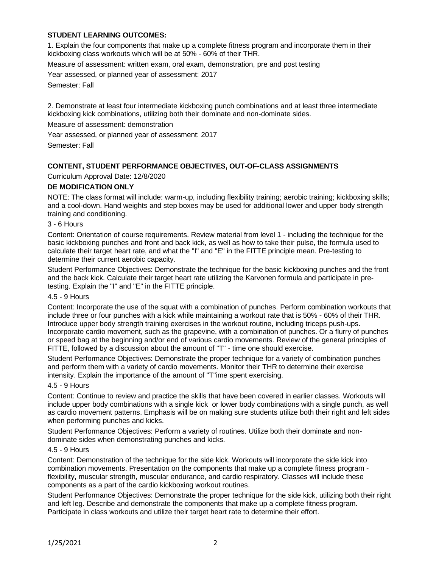# **STUDENT LEARNING OUTCOMES:**

1. Explain the four components that make up a complete fitness program and incorporate them in their kickboxing class workouts which will be at 50% - 60% of their THR.

Measure of assessment: written exam, oral exam, demonstration, pre and post testing

Year assessed, or planned year of assessment: 2017

Semester: Fall

2. Demonstrate at least four intermediate kickboxing punch combinations and at least three intermediate kickboxing kick combinations, utilizing both their dominate and non-dominate sides.

Measure of assessment: demonstration

Year assessed, or planned year of assessment: 2017

Semester: Fall

# **CONTENT, STUDENT PERFORMANCE OBJECTIVES, OUT-OF-CLASS ASSIGNMENTS**

### Curriculum Approval Date: 12/8/2020

### **DE MODIFICATION ONLY**

NOTE: The class format will include: warm-up, including flexibility training; aerobic training; kickboxing skills; and a cool-down. Hand weights and step boxes may be used for additional lower and upper body strength training and conditioning.

# 3 - 6 Hours

Content: Orientation of course requirements. Review material from level 1 - including the technique for the basic kickboxing punches and front and back kick, as well as how to take their pulse, the formula used to calculate their target heart rate, and what the "I" and "E" in the FITTE principle mean. Pre-testing to determine their current aerobic capacity.

Student Performance Objectives: Demonstrate the technique for the basic kickboxing punches and the front and the back kick. Calculate their target heart rate utilizing the Karvonen formula and participate in pretesting. Explain the "I" and "E" in the FITTE principle.

## 4.5 - 9 Hours

Content: Incorporate the use of the squat with a combination of punches. Perform combination workouts that include three or four punches with a kick while maintaining a workout rate that is 50% - 60% of their THR. Introduce upper body strength training exercises in the workout routine, including triceps push-ups. Incorporate cardio movement, such as the grapevine, with a combination of punches. Or a flurry of punches or speed bag at the beginning and/or end of various cardio movements. Review of the general principles of FITTE, followed by a discussion about the amount of "T" - time one should exercise.

Student Performance Objectives: Demonstrate the proper technique for a variety of combination punches and perform them with a variety of cardio movements. Monitor their THR to determine their exercise intensity. Explain the importance of the amount of "T"ime spent exercising.

#### 4.5 - 9 Hours

Content: Continue to review and practice the skills that have been covered in earlier classes. Workouts will include upper body combinations with a single kick or lower body combinations with a single punch, as well as cardio movement patterns. Emphasis will be on making sure students utilize both their right and left sides when performing punches and kicks.

Student Performance Objectives: Perform a variety of routines. Utilize both their dominate and nondominate sides when demonstrating punches and kicks.

#### 4.5 - 9 Hours

Content: Demonstration of the technique for the side kick. Workouts will incorporate the side kick into combination movements. Presentation on the components that make up a complete fitness program flexibility, muscular strength, muscular endurance, and cardio respiratory. Classes will include these components as a part of the cardio kickboxing workout routines.

Student Performance Objectives: Demonstrate the proper technique for the side kick, utilizing both their right and left leg. Describe and demonstrate the components that make up a complete fitness program. Participate in class workouts and utilize their target heart rate to determine their effort.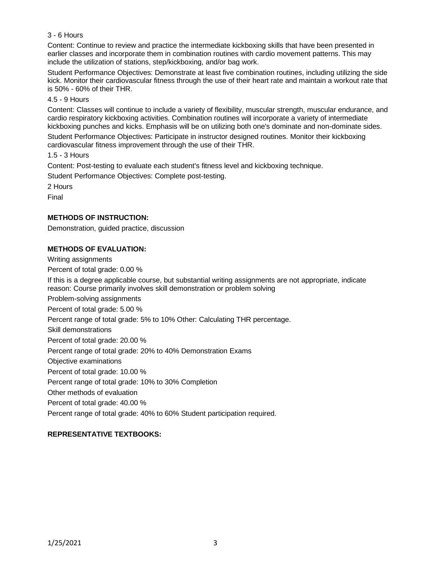## 3 - 6 Hours

Content: Continue to review and practice the intermediate kickboxing skills that have been presented in earlier classes and incorporate them in combination routines with cardio movement patterns. This may include the utilization of stations, step/kickboxing, and/or bag work.

Student Performance Objectives: Demonstrate at least five combination routines, including utilizing the side kick. Monitor their cardiovascular fitness through the use of their heart rate and maintain a workout rate that is 50% - 60% of their THR.

### 4.5 - 9 Hours

Content: Classes will continue to include a variety of flexibility, muscular strength, muscular endurance, and cardio respiratory kickboxing activities. Combination routines will incorporate a variety of intermediate kickboxing punches and kicks. Emphasis will be on utilizing both one's dominate and non-dominate sides.

Student Performance Objectives: Participate in instructor designed routines. Monitor their kickboxing cardiovascular fitness improvement through the use of their THR.

1.5 - 3 Hours

Content: Post-testing to evaluate each student's fitness level and kickboxing technique.

Student Performance Objectives: Complete post-testing.

2 Hours

Final

# **METHODS OF INSTRUCTION:**

Demonstration, guided practice, discussion

### **METHODS OF EVALUATION:**

Writing assignments

Percent of total grade: 0.00 %

If this is a degree applicable course, but substantial writing assignments are not appropriate, indicate reason: Course primarily involves skill demonstration or problem solving Problem-solving assignments Percent of total grade: 5.00 % Percent range of total grade: 5% to 10% Other: Calculating THR percentage. Skill demonstrations Percent of total grade: 20.00 % Percent range of total grade: 20% to 40% Demonstration Exams Objective examinations Percent of total grade: 10.00 % Percent range of total grade: 10% to 30% Completion Other methods of evaluation Percent of total grade: 40.00 % Percent range of total grade: 40% to 60% Student participation required.

# **REPRESENTATIVE TEXTBOOKS:**